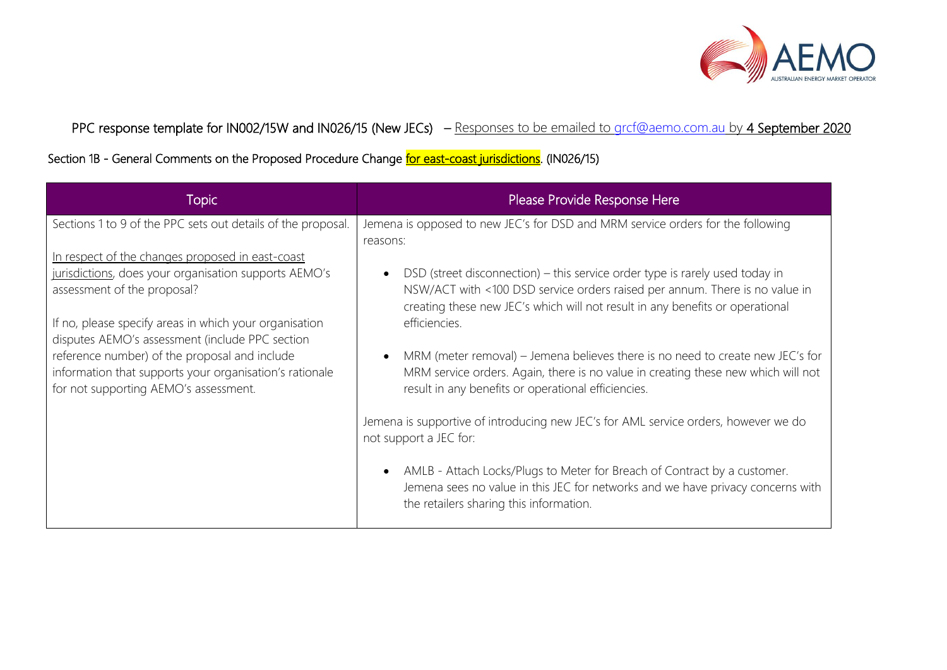

PPC response template for IN002/15W and IN026/15 (New JECs) – Responses to be emailed to [grcf@aemo.com.au](mailto:grcf@aemo.com.au) by 4 September 2020

Section 1B - General Comments on the Proposed Procedure Change for east-coast jurisdictions. (IN026/15)

| Topic                                                                                                                                                                                                                                                                                                                                                                                                      | Please Provide Response Here                                                                                                                                                                                                                                                                                                                                                                                                                                                                                                      |
|------------------------------------------------------------------------------------------------------------------------------------------------------------------------------------------------------------------------------------------------------------------------------------------------------------------------------------------------------------------------------------------------------------|-----------------------------------------------------------------------------------------------------------------------------------------------------------------------------------------------------------------------------------------------------------------------------------------------------------------------------------------------------------------------------------------------------------------------------------------------------------------------------------------------------------------------------------|
| Sections 1 to 9 of the PPC sets out details of the proposal.                                                                                                                                                                                                                                                                                                                                               | Jemena is opposed to new JEC's for DSD and MRM service orders for the following                                                                                                                                                                                                                                                                                                                                                                                                                                                   |
| In respect of the changes proposed in east-coast<br>jurisdictions, does your organisation supports AEMO's<br>assessment of the proposal?<br>If no, please specify areas in which your organisation<br>disputes AEMO's assessment (include PPC section<br>reference number) of the proposal and include<br>information that supports your organisation's rationale<br>for not supporting AEMO's assessment. | reasons:<br>DSD (street disconnection) – this service order type is rarely used today in<br>$\bullet$<br>NSW/ACT with <100 DSD service orders raised per annum. There is no value in<br>creating these new JEC's which will not result in any benefits or operational<br>efficiencies.<br>MRM (meter removal) – Jemena believes there is no need to create new JEC's for<br>$\bullet$<br>MRM service orders. Again, there is no value in creating these new which will not<br>result in any benefits or operational efficiencies. |
|                                                                                                                                                                                                                                                                                                                                                                                                            | Jemena is supportive of introducing new JEC's for AML service orders, however we do<br>not support a JEC for:<br>AMLB - Attach Locks/Plugs to Meter for Breach of Contract by a customer.<br>$\bullet$<br>Jemena sees no value in this JEC for networks and we have privacy concerns with<br>the retailers sharing this information.                                                                                                                                                                                              |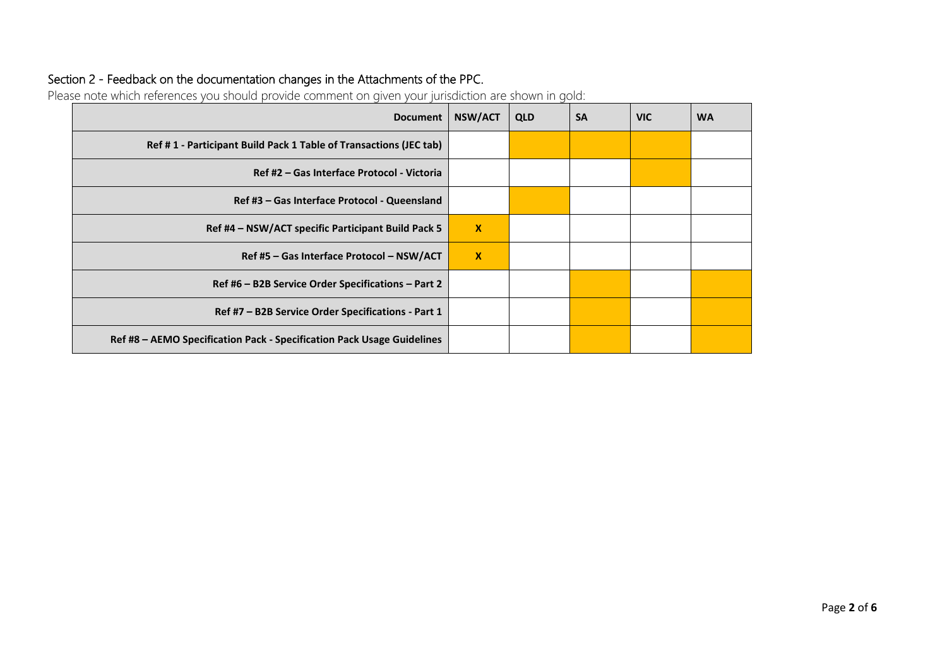## Section 2 - Feedback on the documentation changes in the Attachments of the PPC.

Please note which references you should provide comment on given your jurisdiction are shown in gold:

| <b>Document</b>                                                        | <b>NSW/ACT</b> | <b>QLD</b> | <b>SA</b> | <b>VIC</b> | <b>WA</b> |
|------------------------------------------------------------------------|----------------|------------|-----------|------------|-----------|
| Ref #1 - Participant Build Pack 1 Table of Transactions (JEC tab)      |                |            |           |            |           |
| Ref #2 – Gas Interface Protocol - Victoria                             |                |            |           |            |           |
| Ref #3 – Gas Interface Protocol - Queensland                           |                |            |           |            |           |
| Ref #4 – NSW/ACT specific Participant Build Pack 5                     |                |            |           |            |           |
| Ref #5 - Gas Interface Protocol - NSW/ACT                              |                |            |           |            |           |
| Ref #6 – B2B Service Order Specifications – Part 2                     |                |            |           |            |           |
| Ref #7 – B2B Service Order Specifications - Part 1                     |                |            |           |            |           |
| Ref #8 - AEMO Specification Pack - Specification Pack Usage Guidelines |                |            |           |            |           |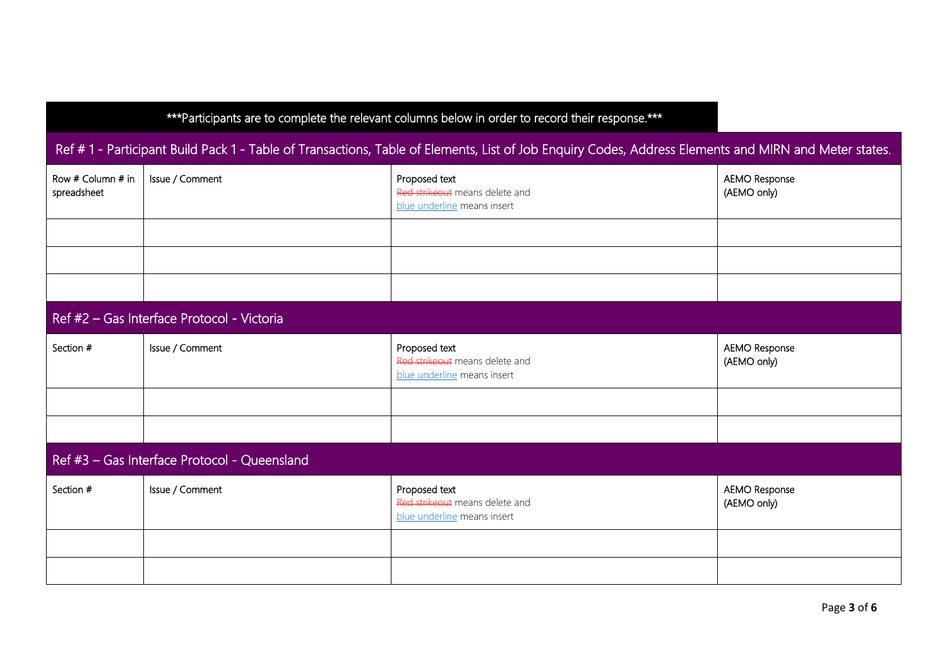| *** Participants are to complete the relevant columns below in order to record their response.***                                                    |                                            |                                                                                |                                     |
|------------------------------------------------------------------------------------------------------------------------------------------------------|--------------------------------------------|--------------------------------------------------------------------------------|-------------------------------------|
| Ref #1 - Participant Build Pack 1 - Table of Transactions, Table of Elements, List of Job Enquiry Codes, Address Elements and MIRN and Meter states. |                                            |                                                                                |                                     |
| Row # Column # in<br>spreadsheet                                                                                                                     | Issue / Comment                            | Proposed text<br>Red strikeout means delete and<br>blue underline means insert | <b>AEMO Response</b><br>(AEMO only) |
|                                                                                                                                                      |                                            |                                                                                |                                     |
|                                                                                                                                                      |                                            |                                                                                |                                     |
|                                                                                                                                                      |                                            |                                                                                |                                     |
|                                                                                                                                                      | Ref #2 - Gas Interface Protocol - Victoria |                                                                                |                                     |
| Section #                                                                                                                                            | Issue / Comment                            | Proposed text<br>Red strikeout means delete and<br>blue underline means insert | <b>AEMO Response</b><br>(AEMO only) |
|                                                                                                                                                      |                                            |                                                                                |                                     |
|                                                                                                                                                      |                                            |                                                                                |                                     |
| Ref #3 - Gas Interface Protocol - Queensland                                                                                                         |                                            |                                                                                |                                     |
| Section #                                                                                                                                            | Issue / Comment                            | Proposed text<br>Red strikeout means delete and<br>blue underline means insert | <b>AEMO Response</b><br>(AEMO only) |
|                                                                                                                                                      |                                            |                                                                                |                                     |
|                                                                                                                                                      |                                            |                                                                                |                                     |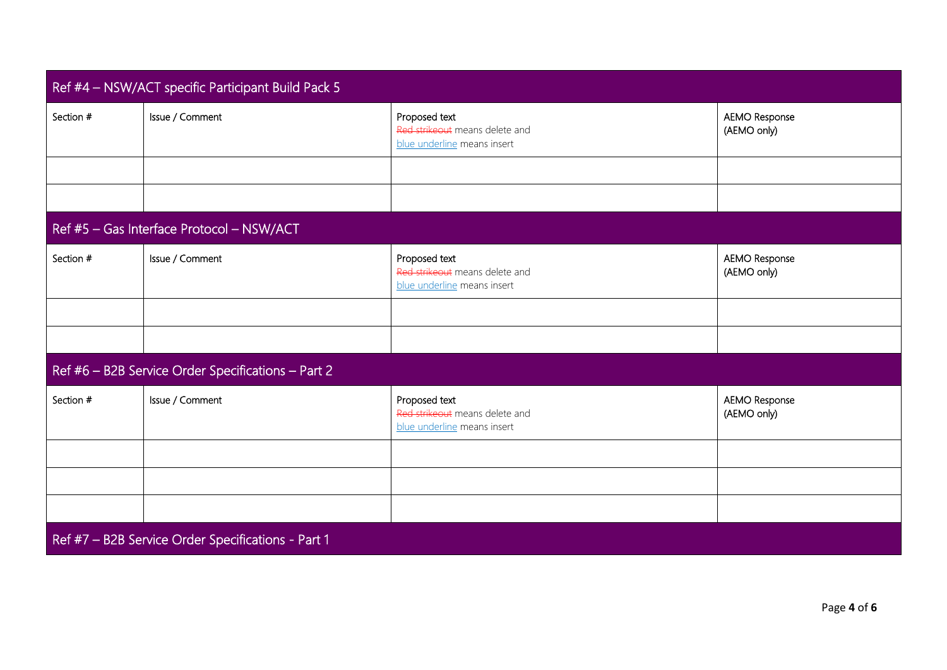| Ref #4 - NSW/ACT specific Participant Build Pack 5 |                                                    |                                                                                |                                     |  |
|----------------------------------------------------|----------------------------------------------------|--------------------------------------------------------------------------------|-------------------------------------|--|
| Section #                                          | Issue / Comment                                    | Proposed text<br>Red strikeout means delete and<br>blue underline means insert | <b>AEMO Response</b><br>(AEMO only) |  |
|                                                    |                                                    |                                                                                |                                     |  |
|                                                    |                                                    |                                                                                |                                     |  |
|                                                    | Ref #5 - Gas Interface Protocol - NSW/ACT          |                                                                                |                                     |  |
| Section #                                          | Issue / Comment                                    | Proposed text<br>Red strikeout means delete and<br>blue underline means insert | <b>AEMO Response</b><br>(AEMO only) |  |
|                                                    |                                                    |                                                                                |                                     |  |
|                                                    |                                                    |                                                                                |                                     |  |
|                                                    | Ref #6 - B2B Service Order Specifications - Part 2 |                                                                                |                                     |  |
| Section #                                          | Issue / Comment                                    | Proposed text<br>Red strikeout means delete and<br>blue underline means insert | <b>AEMO Response</b><br>(AEMO only) |  |
|                                                    |                                                    |                                                                                |                                     |  |
|                                                    |                                                    |                                                                                |                                     |  |
|                                                    |                                                    |                                                                                |                                     |  |
|                                                    | Ref #7 - B2B Service Order Specifications - Part 1 |                                                                                |                                     |  |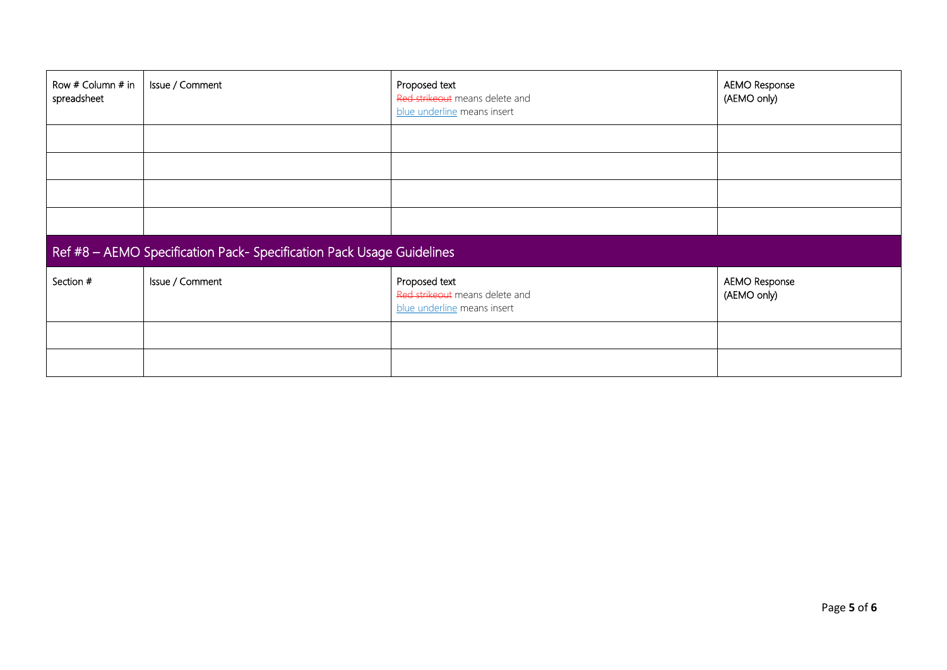| Row # Column # in<br>spreadsheet                                      | Issue / Comment | Proposed text<br>Red strikeout means delete and<br>blue underline means insert | AEMO Response<br>(AEMO only)        |
|-----------------------------------------------------------------------|-----------------|--------------------------------------------------------------------------------|-------------------------------------|
|                                                                       |                 |                                                                                |                                     |
|                                                                       |                 |                                                                                |                                     |
|                                                                       |                 |                                                                                |                                     |
|                                                                       |                 |                                                                                |                                     |
| Ref #8 - AEMO Specification Pack- Specification Pack Usage Guidelines |                 |                                                                                |                                     |
| Section #                                                             | Issue / Comment | Proposed text<br>Red strikeout means delete and<br>blue underline means insert | <b>AEMO Response</b><br>(AEMO only) |
|                                                                       |                 |                                                                                |                                     |
|                                                                       |                 |                                                                                |                                     |